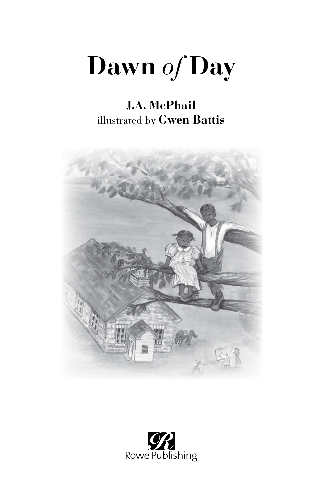# **Dawn** *of* **Day**

## **J.A. McPhail** illustrated by **Gwen Battis**



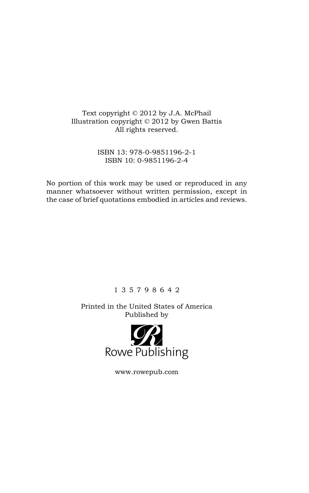#### Text copyright © 2012 by J.A. McPhail Illustration copyright © 2012 by Gwen Battis All rights reserved.

#### ISBN 13: 978-0-9851196-2-1 ISBN 10: 0-9851196-2-4

No portion of this work may be used or reproduced in any manner whatsoever without written permission, except in the case of brief quotations embodied in articles and reviews.

#### 1 3 5 7 9 8 6 4 2

Printed in the United States of America Published by



www.rowepub.com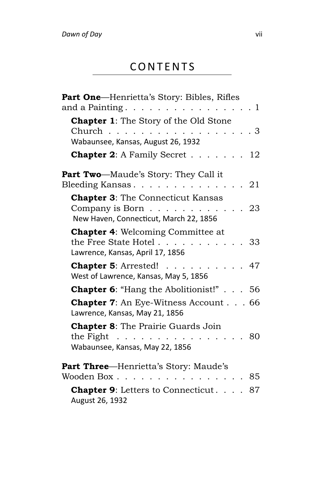### CONTENTS

| Part One-Henrietta's Story: Bibles, Rifles                                                                                            |     |
|---------------------------------------------------------------------------------------------------------------------------------------|-----|
| and a Painting $\ldots$<br>.                                                                                                          | -1  |
| <b>Chapter 1:</b> The Story of the Old Stone<br>Church<br>.<br>Wabaunsee, Kansas, August 26, 1932                                     | . 3 |
| <b>Chapter 2:</b> A Family Secret $\ldots$ $\ldots$                                                                                   | 12  |
| <b>Part Two</b> —Maude's Story: They Call it<br>Bleeding Kansas.<br>$\cdot$ $\cdot$ $\cdot$                                           | 21  |
| <b>Chapter 3: The Connecticut Kansas</b><br>Company is Born $\dots$ $\dots$ $\dots$ $\dots$<br>New Haven, Connecticut, March 22, 1856 | 23  |
| <b>Chapter 4: Welcoming Committee at</b><br>the Free State Hotel<br>Lawrence, Kansas, April 17, 1856                                  | 33  |
| <b>Chapter 5: Arrested!</b><br>and a state<br>West of Lawrence, Kansas, May 5, 1856                                                   | 47  |
| <b>Chapter 6: "Hang the Abolitionist!"</b> 56                                                                                         |     |
| <b>Chapter 7:</b> An Eye-Witness Account 66<br>Lawrence, Kansas, May 21, 1856                                                         |     |
| <b>Chapter 8:</b> The Prairie Guards Join<br>the Fight<br>$\ddot{\phantom{a}}$<br>$\overline{a}$<br>Wabaunsee, Kansas, May 22, 1856   | 80  |
| <b>Part Three</b> —Henrietta's Story: Maude's<br>. Wooden Box                                                                         | 85  |
| <b>Chapter 9:</b> Letters to Connecticut.<br>$\overline{\phantom{a}}$<br>August 26, 1932                                              | 87  |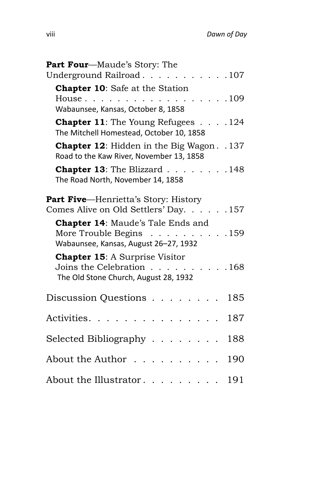| Part Four-Maude's Story: The                                                                                               |
|----------------------------------------------------------------------------------------------------------------------------|
| Underground Railroad<br>.107                                                                                               |
| <b>Chapter 10:</b> Safe at the Station<br>.109<br>House<br>Wabaunsee, Kansas, October 8, 1858                              |
| <b>Chapter 11:</b> The Young Refugees 124<br>The Mitchell Homestead, October 10, 1858                                      |
| <b>Chapter 12:</b> Hidden in the Big Wagon. .137<br>Road to the Kaw River, November 13, 1858                               |
| .148<br><b>Chapter 13: The Blizzard.</b><br>The Road North, November 14, 1858                                              |
| Part Five-Henrietta's Story: History<br>Comes Alive on Old Settlers' Day. 157                                              |
| Chapter 14: Maude's Tale Ends and<br>. 159<br>More Trouble Begins<br>$\mathbf{r}$<br>Wabaunsee, Kansas, August 26-27, 1932 |
| <b>Chapter 15:</b> A Surprise Visitor<br>Joins the Celebration.<br>. 168<br>The Old Stone Church, August 28, 1932          |
| 185<br>Discussion Questions.                                                                                               |
| 187<br>Activities.                                                                                                         |
| 188<br>Selected Bibliography                                                                                               |
| 190<br>About the Author                                                                                                    |
| About the Illustrator.<br>191                                                                                              |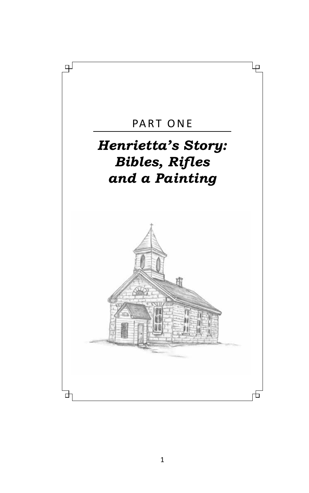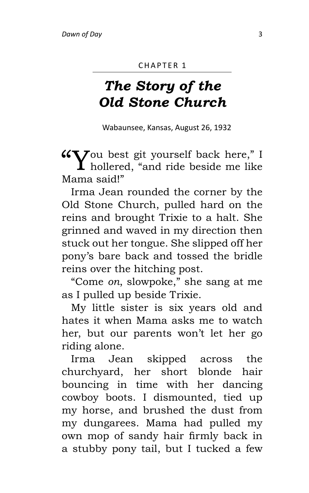## *The Story of the Old Stone Church*

Wabaunsee, Kansas, August 26, 1932

KV you best git yourself back here," I  $\mathbf I$  hollered, "and ride beside me like Mama said!"

Irma Jean rounded the corner by the Old Stone Church, pulled hard on the reins and brought Trixie to a halt. She grinned and waved in my direction then stuck out her tongue. She slipped off her pony's bare back and tossed the bridle reins over the hitching post.

"Come *on*, slowpoke," she sang at me as I pulled up beside Trixie.

My little sister is six years old and hates it when Mama asks me to watch her, but our parents won't let her go riding alone.

Irma Jean skipped across the churchyard, her short blonde hair bouncing in time with her dancing cowboy boots. I dismounted, tied up my horse, and brushed the dust from my dungarees. Mama had pulled my own mop of sandy hair firmly back in a stubby pony tail, but I tucked a few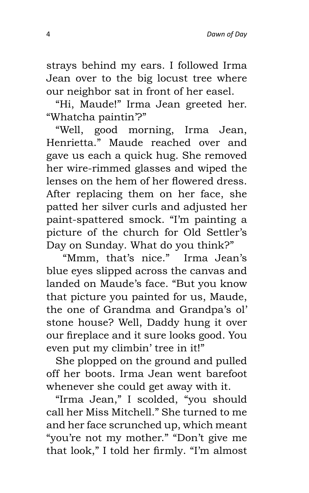strays behind my ears. I followed Irma Jean over to the big locust tree where our neighbor sat in front of her easel.

"Hi, Maude!" Irma Jean greeted her. "Whatcha paintin'?"

"Well, good morning, Irma Jean, Henrietta." Maude reached over and gave us each a quick hug. She removed her wire-rimmed glasses and wiped the lenses on the hem of her flowered dress. After replacing them on her face, she patted her silver curls and adjusted her paint-spattered smock. "I'm painting a picture of the church for Old Settler's Day on Sunday. What do you think?"

"Mmm, that's nice." Irma Jean's blue eyes slipped across the canvas and landed on Maude's face. "But you know that picture you painted for us, Maude, the one of Grandma and Grandpa's ol' stone house? Well, Daddy hung it over our fireplace and it sure looks good. You even put my climbin' tree in it!"

She plopped on the ground and pulled off her boots. Irma Jean went barefoot whenever she could get away with it.

"Irma Jean," I scolded, "you should call her Miss Mitchell." She turned to me and her face scrunched up, which meant "you're not my mother." "Don't give me that look," I told her firmly. "I'm almost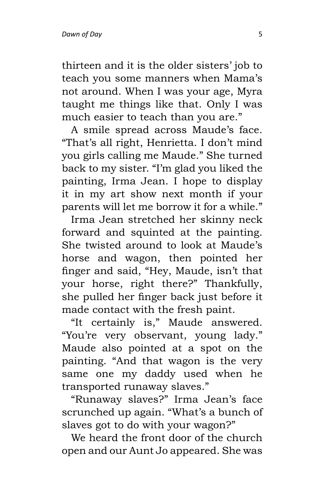thirteen and it is the older sisters' job to teach you some manners when Mama's not around. When I was your age, Myra taught me things like that. Only I was much easier to teach than you are."

A smile spread across Maude's face. "That's all right, Henrietta. I don't mind you girls calling me Maude." She turned back to my sister. "I'm glad you liked the painting, Irma Jean. I hope to display it in my art show next month if your parents will let me borrow it for a while."

Irma Jean stretched her skinny neck forward and squinted at the painting. She twisted around to look at Maude's horse and wagon, then pointed her finger and said, "Hey, Maude, isn't that your horse, right there?" Thankfully, she pulled her finger back just before it made contact with the fresh paint.

"It certainly is," Maude answered. "You're very observant, young lady." Maude also pointed at a spot on the painting. "And that wagon is the very same one my daddy used when he transported runaway slaves."

"Runaway slaves?" Irma Jean's face scrunched up again. "What's a bunch of slaves got to do with your wagon?"

We heard the front door of the church open and our Aunt Jo appeared. She was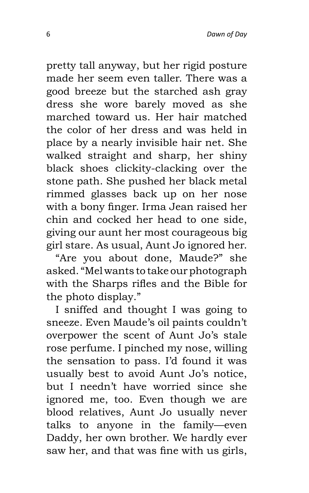pretty tall anyway, but her rigid posture made her seem even taller. There was a good breeze but the starched ash gray dress she wore barely moved as she marched toward us. Her hair matched the color of her dress and was held in place by a nearly invisible hair net. She walked straight and sharp, her shiny black shoes clickity-clacking over the stone path. She pushed her black metal rimmed glasses back up on her nose with a bony finger. Irma Jean raised her chin and cocked her head to one side, giving our aunt her most courageous big girl stare. As usual, Aunt Jo ignored her.

"Are you about done, Maude?" she asked. "Mel wants to take our photograph with the Sharps rifles and the Bible for the photo display."

I sniffed and thought I was going to sneeze. Even Maude's oil paints couldn't overpower the scent of Aunt Jo's stale rose perfume. I pinched my nose, willing the sensation to pass. I'd found it was usually best to avoid Aunt Jo's notice, but I needn't have worried since she ignored me, too. Even though we are blood relatives, Aunt Jo usually never talks to anyone in the family—even Daddy, her own brother. We hardly ever saw her, and that was fine with us girls,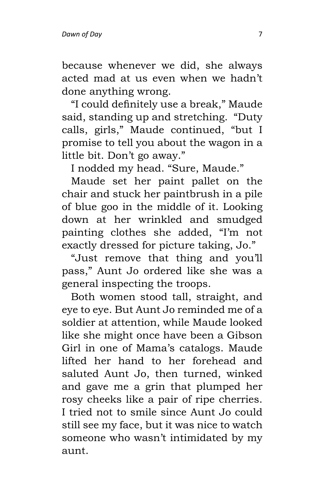because whenever we did, she always acted mad at us even when we hadn't done anything wrong.

"I could definitely use a break," Maude said, standing up and stretching. "Duty calls, girls," Maude continued, "but I promise to tell you about the wagon in a little bit. Don't go away."

I nodded my head. "Sure, Maude."

Maude set her paint pallet on the chair and stuck her paintbrush in a pile of blue goo in the middle of it. Looking down at her wrinkled and smudged painting clothes she added, "I'm not exactly dressed for picture taking, Jo."

"Just remove that thing and you'll pass," Aunt Jo ordered like she was a general inspecting the troops.

Both women stood tall, straight, and eye to eye. But Aunt Jo reminded me of a soldier at attention, while Maude looked like she might once have been a Gibson Girl in one of Mama's catalogs. Maude lifted her hand to her forehead and saluted Aunt Jo, then turned, winked and gave me a grin that plumped her rosy cheeks like a pair of ripe cherries. I tried not to smile since Aunt Jo could still see my face, but it was nice to watch someone who wasn't intimidated by my aunt.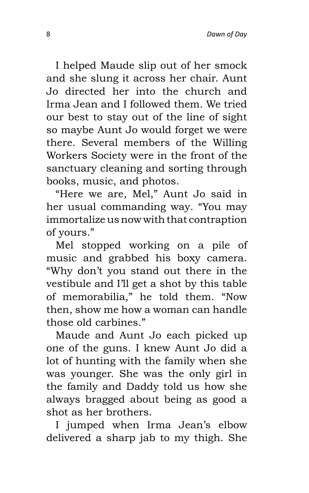I helped Maude slip out of her smock and she slung it across her chair. Aunt Jo directed her into the church and Irma Jean and I followed them. We tried our best to stay out of the line of sight so maybe Aunt Jo would forget we were there. Several members of the Willing Workers Society were in the front of the sanctuary cleaning and sorting through books, music, and photos.

"Here we are, Mel," Aunt Jo said in her usual commanding way. "You may immortalize us now with that contraption of yours."

Mel stopped working on a pile of music and grabbed his boxy camera. "Why don't you stand out there in the vestibule and I'll get a shot by this table of memorabilia," he told them. "Now then, show me how a woman can handle those old carbines."

Maude and Aunt Jo each picked up one of the guns. I knew Aunt Jo did a lot of hunting with the family when she was younger. She was the only girl in the family and Daddy told us how she always bragged about being as good a shot as her brothers.

I jumped when Irma Jean's elbow delivered a sharp jab to my thigh. She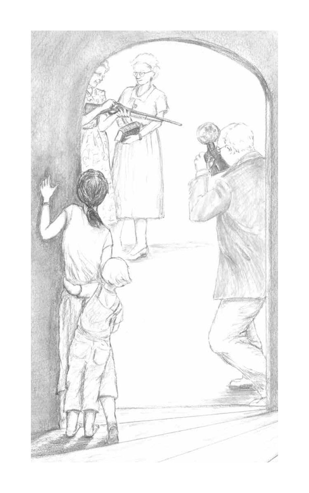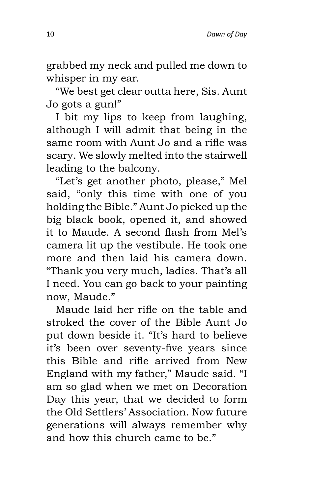grabbed my neck and pulled me down to whisper in my ear.

"We best get clear outta here, Sis. Aunt Jo gots a gun!"

I bit my lips to keep from laughing, although I will admit that being in the same room with Aunt Jo and a rifle was scary. We slowly melted into the stairwell leading to the balcony.

"Let's get another photo, please," Mel said, "only this time with one of you holding the Bible." Aunt Jo picked up the big black book, opened it, and showed it to Maude. A second flash from Mel's camera lit up the vestibule. He took one more and then laid his camera down. "Thank you very much, ladies. That's all I need. You can go back to your painting now, Maude."

Maude laid her rifle on the table and stroked the cover of the Bible Aunt Jo put down beside it. "It's hard to believe it's been over seventy-five years since this Bible and rifle arrived from New England with my father," Maude said. "I am so glad when we met on Decoration Day this year, that we decided to form the Old Settlers' Association. Now future generations will always remember why and how this church came to be."